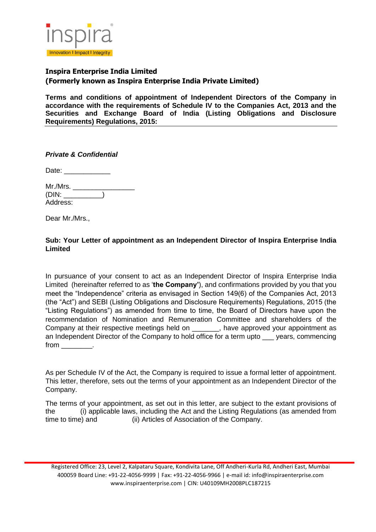

**Terms and conditions of appointment of Independent Directors of the Company in accordance with the requirements of Schedule IV to the Companies Act, 2013 and the Securities and Exchange Board of India (Listing Obligations and Disclosure Requirements) Regulations, 2015:** 

*Private & Confidential* 

Date:  $\Box$ 

Mr./Mrs. \_\_\_\_\_\_\_  $(DIN:$ Address:

Dear Mr./Mrs.,

## **Sub: Your Letter of appointment as an Independent Director of Inspira Enterprise India Limited**

In pursuance of your consent to act as an Independent Director of Inspira Enterprise India Limited (hereinafter referred to as '**the Company'**), and confirmations provided by you that you meet the "Independence" criteria as envisaged in Section 149(6) of the Companies Act, 2013 (the "Act") and SEBI (Listing Obligations and Disclosure Requirements) Regulations, 2015 (the "Listing Regulations") as amended from time to time, the Board of Directors have upon the recommendation of Nomination and Remuneration Committee and shareholders of the Company at their respective meetings held on example approved your appointment as an Independent Director of the Company to hold office for a term upto \_\_\_ years, commencing from the control of the control of the control of the control of the control of the control of the control of the control of the control of the control of the control of the control of the control of the control of the con

As per Schedule IV of the Act, the Company is required to issue a formal letter of appointment. This letter, therefore, sets out the terms of your appointment as an Independent Director of the Company.

The terms of your appointment, as set out in this letter, are subject to the extant provisions of the (i) applicable laws, including the Act and the Listing Regulations (as amended from time to time) and (ii) Articles of Association of the Company.

Registered Office: 23, Level 2, Kalpataru Square, Kondivita Lane, Off Andheri-Kurla Rd, Andheri East, Mumbai 400059 Board Line: +91-22-4056-9999 | Fax: +91-22-4056-9966 | e-mail id: info@inspiraenterprise.com www.inspiraenterprise.com | CIN: U40109MH2008PLC187215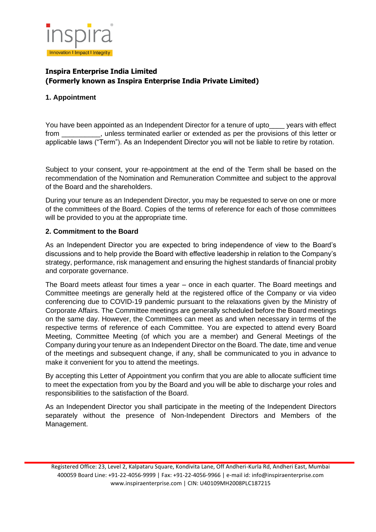

## **1. Appointment**

You have been appointed as an Independent Director for a tenure of upto vears with effect from \_\_\_\_\_\_\_\_\_\_, unless terminated earlier or extended as per the provisions of this letter or applicable laws ("Term"). As an Independent Director you will not be liable to retire by rotation.

Subject to your consent, your re-appointment at the end of the Term shall be based on the recommendation of the Nomination and Remuneration Committee and subject to the approval of the Board and the shareholders.

During your tenure as an Independent Director, you may be requested to serve on one or more of the committees of the Board. Copies of the terms of reference for each of those committees will be provided to you at the appropriate time.

### **2. Commitment to the Board**

As an Independent Director you are expected to bring independence of view to the Board's discussions and to help provide the Board with effective leadership in relation to the Company's strategy, performance, risk management and ensuring the highest standards of financial probity and corporate governance.

The Board meets atleast four times a year – once in each quarter. The Board meetings and Committee meetings are generally held at the registered office of the Company or via video conferencing due to COVID-19 pandemic pursuant to the relaxations given by the Ministry of Corporate Affairs. The Committee meetings are generally scheduled before the Board meetings on the same day. However, the Committees can meet as and when necessary in terms of the respective terms of reference of each Committee. You are expected to attend every Board Meeting, Committee Meeting (of which you are a member) and General Meetings of the Company during your tenure as an Independent Director on the Board. The date, time and venue of the meetings and subsequent change, if any, shall be communicated to you in advance to make it convenient for you to attend the meetings.

By accepting this Letter of Appointment you confirm that you are able to allocate sufficient time to meet the expectation from you by the Board and you will be able to discharge your roles and responsibilities to the satisfaction of the Board.

As an Independent Director you shall participate in the meeting of the Independent Directors separately without the presence of Non-Independent Directors and Members of the Management.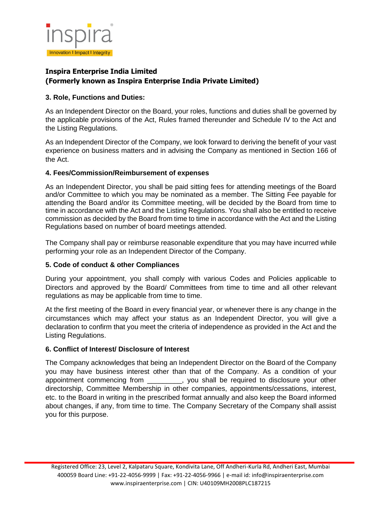

### **3. Role, Functions and Duties:**

As an Independent Director on the Board, your roles, functions and duties shall be governed by the applicable provisions of the Act, Rules framed thereunder and Schedule IV to the Act and the Listing Regulations.

As an Independent Director of the Company, we look forward to deriving the benefit of your vast experience on business matters and in advising the Company as mentioned in Section 166 of the Act.

## **4. Fees/Commission/Reimbursement of expenses**

As an Independent Director, you shall be paid sitting fees for attending meetings of the Board and/or Committee to which you may be nominated as a member. The Sitting Fee payable for attending the Board and/or its Committee meeting, will be decided by the Board from time to time in accordance with the Act and the Listing Regulations. You shall also be entitled to receive commission as decided by the Board from time to time in accordance with the Act and the Listing Regulations based on number of board meetings attended.

The Company shall pay or reimburse reasonable expenditure that you may have incurred while performing your role as an Independent Director of the Company.

## **5. Code of conduct & other Compliances**

During your appointment, you shall comply with various Codes and Policies applicable to Directors and approved by the Board/ Committees from time to time and all other relevant regulations as may be applicable from time to time.

At the first meeting of the Board in every financial year, or whenever there is any change in the circumstances which may affect your status as an Independent Director, you will give a declaration to confirm that you meet the criteria of independence as provided in the Act and the Listing Regulations.

### **6. Conflict of Interest/ Disclosure of Interest**

The Company acknowledges that being an Independent Director on the Board of the Company you may have business interest other than that of the Company. As a condition of your appointment commencing from \_\_\_\_\_\_\_\_\_, you shall be required to disclosure your other directorship, Committee Membership in other companies, appointments/cessations, interest, etc. to the Board in writing in the prescribed format annually and also keep the Board informed about changes, if any, from time to time. The Company Secretary of the Company shall assist you for this purpose.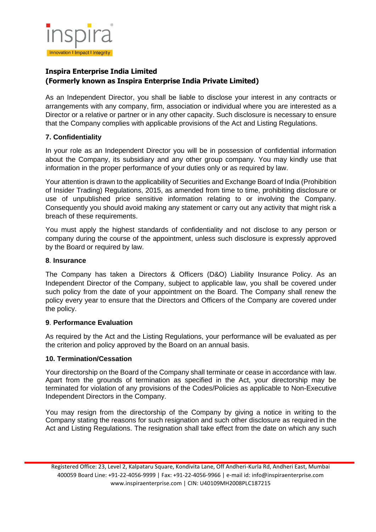

As an Independent Director, you shall be liable to disclose your interest in any contracts or arrangements with any company, firm, association or individual where you are interested as a Director or a relative or partner or in any other capacity. Such disclosure is necessary to ensure that the Company complies with applicable provisions of the Act and Listing Regulations.

## **7. Confidentiality**

In your role as an Independent Director you will be in possession of confidential information about the Company, its subsidiary and any other group company. You may kindly use that information in the proper performance of your duties only or as required by law.

Your attention is drawn to the applicability of Securities and Exchange Board of India (Prohibition of Insider Trading) Regulations, 2015, as amended from time to time, prohibiting disclosure or use of unpublished price sensitive information relating to or involving the Company. Consequently you should avoid making any statement or carry out any activity that might risk a breach of these requirements.

You must apply the highest standards of confidentiality and not disclose to any person or company during the course of the appointment, unless such disclosure is expressly approved by the Board or required by law.

### **8**. **Insurance**

The Company has taken a Directors & Officers (D&O) Liability Insurance Policy. As an Independent Director of the Company, subject to applicable law, you shall be covered under such policy from the date of your appointment on the Board. The Company shall renew the policy every year to ensure that the Directors and Officers of the Company are covered under the policy.

### **9**. **Performance Evaluation**

As required by the Act and the Listing Regulations, your performance will be evaluated as per the criterion and policy approved by the Board on an annual basis.

### **10. Termination/Cessation**

Your directorship on the Board of the Company shall terminate or cease in accordance with law. Apart from the grounds of termination as specified in the Act, your directorship may be terminated for violation of any provisions of the Codes/Policies as applicable to Non-Executive Independent Directors in the Company.

You may resign from the directorship of the Company by giving a notice in writing to the Company stating the reasons for such resignation and such other disclosure as required in the Act and Listing Regulations. The resignation shall take effect from the date on which any such